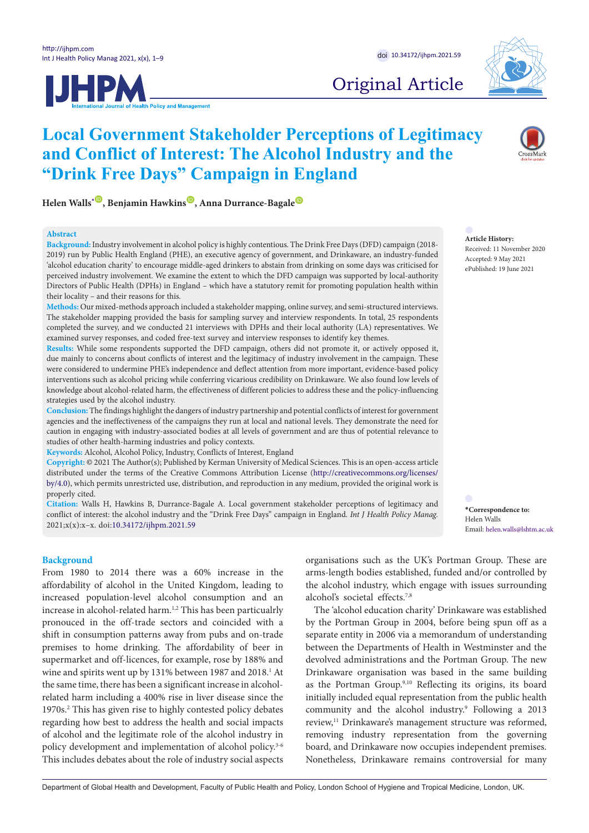



# Original Article

**Helen Walls<sup>[\\*](#page-0-0)</sup><sup>O</sup>, Benjamin Hawkins<sup><sup>O</sup>, Anna Durrance-Bagale<sup><sup>O</sup>**</sup></sup>

**"Drink Free Days" Campaign in England**

### **Abstract**

**Background:** Industry involvement in alcohol policy is highly contentious. The Drink Free Days (DFD) campaign (2018- 2019) run by Public Health England (PHE), an executive agency of government, and Drinkaware, an industry-funded 'alcohol education charity' to encourage middle-aged drinkers to abstain from drinking on some days was criticised for perceived industry involvement. We examine the extent to which the DFD campaign was supported by local-authority Directors of Public Health (DPHs) in England – which have a statutory remit for promoting population health within their locality – and their reasons for this.

**Local Government Stakeholder Perceptions of Legitimacy** 

**and Conflict of Interest: The Alcohol Industry and the** 

**Methods:** Our mixed-methods approach included a stakeholder mapping, online survey, and semi-structured interviews. The stakeholder mapping provided the basis for sampling survey and interview respondents. In total, 25 respondents completed the survey, and we conducted 21 interviews with DPHs and their local authority (LA) representatives. We examined survey responses, and coded free-text survey and interview responses to identify key themes.

**Results:** While some respondents supported the DFD campaign, others did not promote it, or actively opposed it, due mainly to concerns about conflicts of interest and the legitimacy of industry involvement in the campaign. These were considered to undermine PHE's independence and deflect attention from more important, evidence-based policy interventions such as alcohol pricing while conferring vicarious credibility on Drinkaware. We also found low levels of knowledge about alcohol-related harm, the effectiveness of different policies to address these and the policy-influencing strategies used by the alcohol industry.

**Conclusion:** The findings highlight the dangers of industry partnership and potential conflicts of interest for government agencies and the ineffectiveness of the campaigns they run at local and national levels. They demonstrate the need for caution in engaging with industry-associated bodies at all levels of government and are thus of potential relevance to studies of other health-harming industries and policy contexts.

**Keywords:** Alcohol, Alcohol Policy, Industry, Conflicts of Interest, England

**Copyright:** © 2021 The Author(s); Published by Kerman University of Medical Sciences. This is an open-access article distributed under the terms of the Creative Commons Attribution License ([http://creativecommons.org/licenses/](http://creativecommons.org/licenses/by/4.0) [by/4.0](http://creativecommons.org/licenses/by/4.0)), which permits unrestricted use, distribution, and reproduction in any medium, provided the original work is properly cited.

**Citation:** Walls H, Hawkins B, Durrance-Bagale A. Local government stakeholder perceptions of legitimacy and conflict of interest: the alcohol industry and the "Drink Free Days" campaign in England. *Int J Health Policy Manag.*  2021;x(x):x–x. doi[:10.34172/ijhpm.2021.59](https://doi.org/10.34172/ijhpm.2021.59)

#### **Background**

From 1980 to 2014 there was a 60% increase in the affordability of alcohol in the United Kingdom, leading to increased population-level alcohol consumption and an increase in alcohol-related harm.<sup>1,2</sup> This has been particualrly pronouced in the off-trade sectors and coincided with a shift in consumption patterns away from pubs and on-trade premises to home drinking. The affordability of beer in supermarket and off-licences, for example, rose by 188% and wine and spirits went up by 131% between 1987 and 2018.<sup>1</sup> At the same time, there has been a significant increase in alcoholrelated harm including a 400% rise in liver disease since the 1970s.<sup>2</sup> This has given rise to highly contested policy debates regarding how best to address the health and social impacts of alcohol and the legitimate role of the alcohol industry in policy development and implementation of alcohol policy.<sup>3-6</sup> This includes debates about the role of industry social aspects

organisations such as the UK's Portman Group. These are arms-length bodies established, funded and/or controlled by the alcohol industry, which engage with issues surrounding alcohol's societal effects.7,8

The 'alcohol education charity' Drinkaware was established by the Portman Group in 2004, before being spun off as a separate entity in 2006 via a memorandum of understanding between the Departments of Health in Westminster and the devolved administrations and the Portman Group. The new Drinkaware organisation was based in the same building as the Portman Group.<sup>9,10</sup> Reflecting its origins, its board initially included equal representation from the public health community and the alcohol industry.9 Following a 2013 review,<sup>11</sup> Drinkaware's management structure was reformed, removing industry representation from the governing board, and Drinkaware now occupies independent premises. Nonetheless, Drinkaware remains controversial for many

Department of Global Health and Development, Faculty of Public Health and Policy, London School of Hygiene and Tropical Medicine, London, UK.

#### **Article History:** Received: 11 November 2020 Accepted: 9 May 2021 ePublished: 19 June 2021

<span id="page-0-0"></span>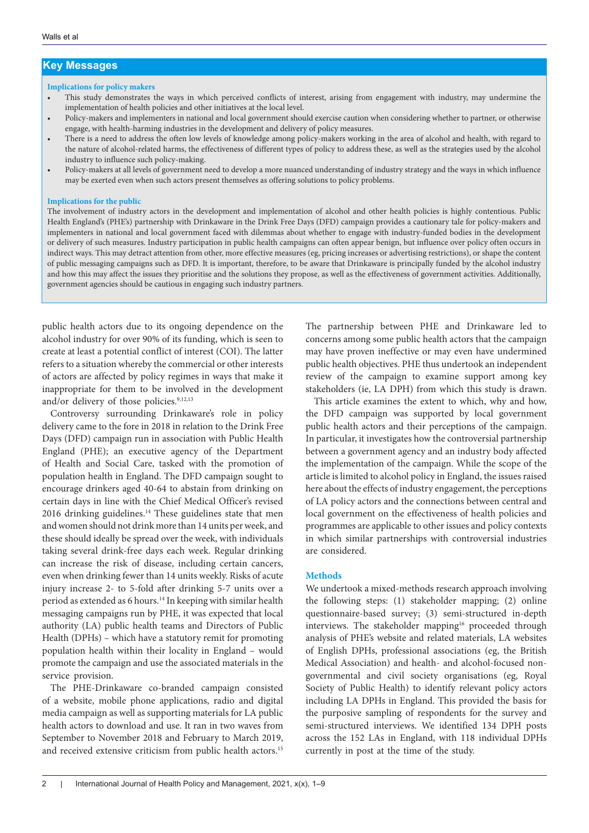## **Key Messages**

#### **Implications for policy makers**

- This study demonstrates the ways in which perceived conflicts of interest, arising from engagement with industry, may undermine the implementation of health policies and other initiatives at the local level.
- Policy-makers and implementers in national and local government should exercise caution when considering whether to partner, or otherwise engage, with health-harming industries in the development and delivery of policy measures.
- There is a need to address the often low levels of knowledge among policy-makers working in the area of alcohol and health, with regard to the nature of alcohol-related harms, the effectiveness of different types of policy to address these, as well as the strategies used by the alcohol industry to influence such policy-making.
- Policy-makers at all levels of government need to develop a more nuanced understanding of industry strategy and the ways in which influence may be exerted even when such actors present themselves as offering solutions to policy problems.

#### **Implications for the public**

The involvement of industry actors in the development and implementation of alcohol and other health policies is highly contentious. Public Health England's (PHE's) partnership with Drinkaware in the Drink Free Days (DFD) campaign provides a cautionary tale for policy-makers and implementers in national and local government faced with dilemmas about whether to engage with industry-funded bodies in the development or delivery of such measures. Industry participation in public health campaigns can often appear benign, but influence over policy often occurs in indirect ways. This may detract attention from other, more effective measures (eg, pricing increases or advertising restrictions), or shape the content of public messaging campaigns such as DFD. It is important, therefore, to be aware that Drinkaware is principally funded by the alcohol industry and how this may affect the issues they prioritise and the solutions they propose, as well as the effectiveness of government activities. Additionally, government agencies should be cautious in engaging such industry partners.

public health actors due to its ongoing dependence on the alcohol industry for over 90% of its funding, which is seen to create at least a potential conflict of interest (COI). The latter refers to a situation whereby the commercial or other interests of actors are affected by policy regimes in ways that make it inappropriate for them to be involved in the development and/or delivery of those policies.<sup>9,12,13</sup>

Controversy surrounding Drinkaware's role in policy delivery came to the fore in 2018 in relation to the Drink Free Days (DFD) campaign run in association with Public Health England (PHE); an executive agency of the Department of Health and Social Care, tasked with the promotion of population health in England. The DFD campaign sought to encourage drinkers aged 40-64 to abstain from drinking on certain days in line with the Chief Medical Officer's revised 2016 drinking guidelines.14 These guidelines state that men and women should not drink more than 14 units per week, and these should ideally be spread over the week, with individuals taking several drink-free days each week. Regular drinking can increase the risk of disease, including certain cancers, even when drinking fewer than 14 units weekly. Risks of acute injury increase 2- to 5-fold after drinking 5-7 units over a period as extended as 6 hours.14 In keeping with similar health messaging campaigns run by PHE, it was expected that local authority (LA) public health teams and Directors of Public Health (DPHs) – which have a statutory remit for promoting population health within their locality in England – would promote the campaign and use the associated materials in the service provision.

The PHE-Drinkaware co-branded campaign consisted of a website, mobile phone applications, radio and digital media campaign as well as supporting materials for LA public health actors to download and use. It ran in two waves from September to November 2018 and February to March 2019, and received extensive criticism from public health actors.<sup>15</sup> The partnership between PHE and Drinkaware led to concerns among some public health actors that the campaign may have proven ineffective or may even have undermined public health objectives. PHE thus undertook an independent review of the campaign to examine support among key stakeholders (ie, LA DPH) from which this study is drawn.

This article examines the extent to which, why and how, the DFD campaign was supported by local government public health actors and their perceptions of the campaign. In particular, it investigates how the controversial partnership between a government agency and an industry body affected the implementation of the campaign. While the scope of the article is limited to alcohol policy in England, the issues raised here about the effects of industry engagement, the perceptions of LA policy actors and the connections between central and local government on the effectiveness of health policies and programmes are applicable to other issues and policy contexts in which similar partnerships with controversial industries are considered.

#### **Methods**

We undertook a mixed-methods research approach involving the following steps: (1) stakeholder mapping; (2) online questionnaire-based survey; (3) semi-structured in-depth interviews. The stakeholder mapping<sup>16</sup> proceeded through analysis of PHE's website and related materials, LA websites of English DPHs, professional associations (eg, the British Medical Association) and health- and alcohol-focused nongovernmental and civil society organisations (eg, Royal Society of Public Health) to identify relevant policy actors including LA DPHs in England. This provided the basis for the purposive sampling of respondents for the survey and semi-structured interviews. We identified 134 DPH posts across the 152 LAs in England, with 118 individual DPHs currently in post at the time of the study.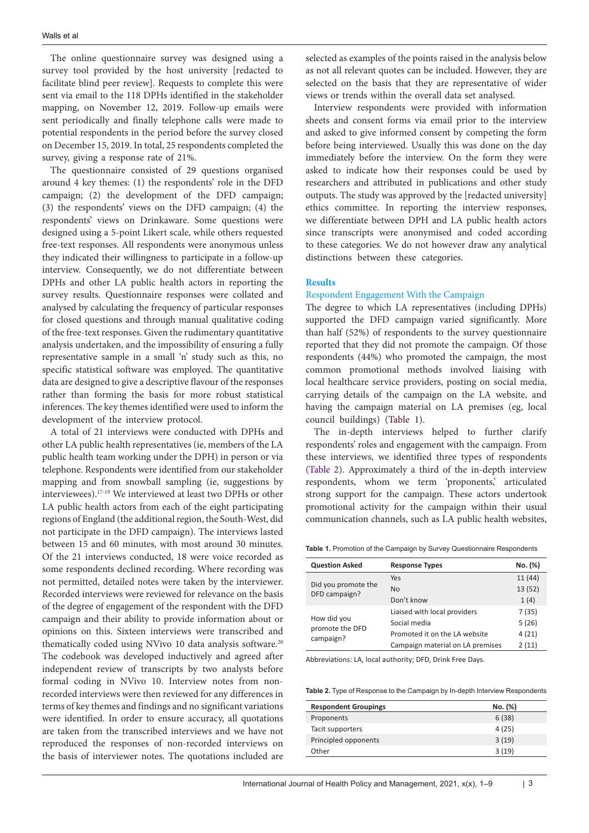The online questionnaire survey was designed using a survey tool provided by the host university [redacted to facilitate blind peer review]. Requests to complete this were sent via email to the 118 DPHs identified in the stakeholder mapping, on November 12, 2019. Follow-up emails were sent periodically and finally telephone calls were made to potential respondents in the period before the survey closed on December 15, 2019. In total, 25 respondents completed the survey, giving a response rate of 21%.

The questionnaire consisted of 29 questions organised around 4 key themes: (1) the respondents' role in the DFD campaign; (2) the development of the DFD campaign; (3) the respondents' views on the DFD campaign; (4) the respondents' views on Drinkaware. Some questions were designed using a 5-point Likert scale, while others requested free-text responses. All respondents were anonymous unless they indicated their willingness to participate in a follow-up interview. Consequently, we do not differentiate between DPHs and other LA public health actors in reporting the survey results. Questionnaire responses were collated and analysed by calculating the frequency of particular responses for closed questions and through manual qualitative coding of the free-text responses. Given the rudimentary quantitative analysis undertaken, and the impossibility of ensuring a fully representative sample in a small 'n' study such as this, no specific statistical software was employed. The quantitative data are designed to give a descriptive flavour of the responses rather than forming the basis for more robust statistical inferences. The key themes identified were used to inform the development of the interview protocol.

A total of 21 interviews were conducted with DPHs and other LA public health representatives (ie, members of the LA public health team working under the DPH) in person or via telephone. Respondents were identified from our stakeholder mapping and from snowball sampling (ie, suggestions by interviewees).17-19 We interviewed at least two DPHs or other LA public health actors from each of the eight participating regions of England (the additional region, the South-West, did not participate in the DFD campaign). The interviews lasted between 15 and 60 minutes, with most around 30 minutes. Of the 21 interviews conducted, 18 were voice recorded as some respondents declined recording. Where recording was not permitted, detailed notes were taken by the interviewer. Recorded interviews were reviewed for relevance on the basis of the degree of engagement of the respondent with the DFD campaign and their ability to provide information about or opinions on this. Sixteen interviews were transcribed and thematically coded using NVivo 10 data analysis software.<sup>20</sup> The codebook was developed inductively and agreed after independent review of transcripts by two analysts before formal coding in NVivo 10. Interview notes from nonrecorded interviews were then reviewed for any differences in terms of key themes and findings and no significant variations were identified. In order to ensure accuracy, all quotations are taken from the transcribed interviews and we have not reproduced the responses of non-recorded interviews on the basis of interviewer notes. The quotations included are

selected as examples of the points raised in the analysis below as not all relevant quotes can be included. However, they are selected on the basis that they are representative of wider views or trends within the overall data set analysed.

Interview respondents were provided with information sheets and consent forms via email prior to the interview and asked to give informed consent by competing the form before being interviewed. Usually this was done on the day immediately before the interview. On the form they were asked to indicate how their responses could be used by researchers and attributed in publications and other study outputs. The study was approved by the [redacted university] ethics committee. In reporting the interview responses, we differentiate between DPH and LA public health actors since transcripts were anonymised and coded according to these categories. We do not however draw any analytical distinctions between these categories.

#### **Results**

#### Respondent Engagement With the Campaign

The degree to which LA representatives (including DPHs) supported the DFD campaign varied significantly. More than half (52%) of respondents to the survey questionnaire reported that they did not promote the campaign. Of those respondents (44%) who promoted the campaign, the most common promotional methods involved liaising with local healthcare service providers, posting on social media, carrying details of the campaign on the LA website, and having the campaign material on LA premises (eg, local council buildings) ([Table 1\)](#page-2-0).

The in-depth interviews helped to further clarify respondents' roles and engagement with the campaign. From these interviews, we identified three types of respondents [\(Table 2\)](#page-2-1). Approximately a third of the in-depth interview respondents, whom we term 'proponents,' articulated strong support for the campaign. These actors undertook promotional activity for the campaign within their usual communication channels, such as LA public health websites,

<span id="page-2-0"></span>**Table 1.** Promotion of the Campaign by Survey Questionnaire Respondents

| <b>Question Asked</b>                | <b>Response Types</b>            | No. (%) |
|--------------------------------------|----------------------------------|---------|
| Did you promote the<br>DFD campaign? | Yes                              | 11 (44) |
|                                      | No                               | 13(52)  |
|                                      | Don't know                       | 1(4)    |
|                                      | Liaised with local providers     | 7(35)   |
| How did you<br>promote the DFD       | Social media                     | 5(26)   |
| campaign?                            | Promoted it on the LA website    | 4(21)   |
|                                      | Campaign material on LA premises | 2(11)   |

Abbreviations: LA, local authority; DFD, Drink Free Days.

<span id="page-2-1"></span>

| Table 2. Type of Response to the Campaign by In-depth Interview Respondents |  |  |
|-----------------------------------------------------------------------------|--|--|
|-----------------------------------------------------------------------------|--|--|

| <b>Respondent Groupings</b> | No. (%) |
|-----------------------------|---------|
| Proponents                  | 6(38)   |
| Tacit supporters            | 4(25)   |
| Principled opponents        | 3(19)   |
| Other                       | 3(19)   |
|                             |         |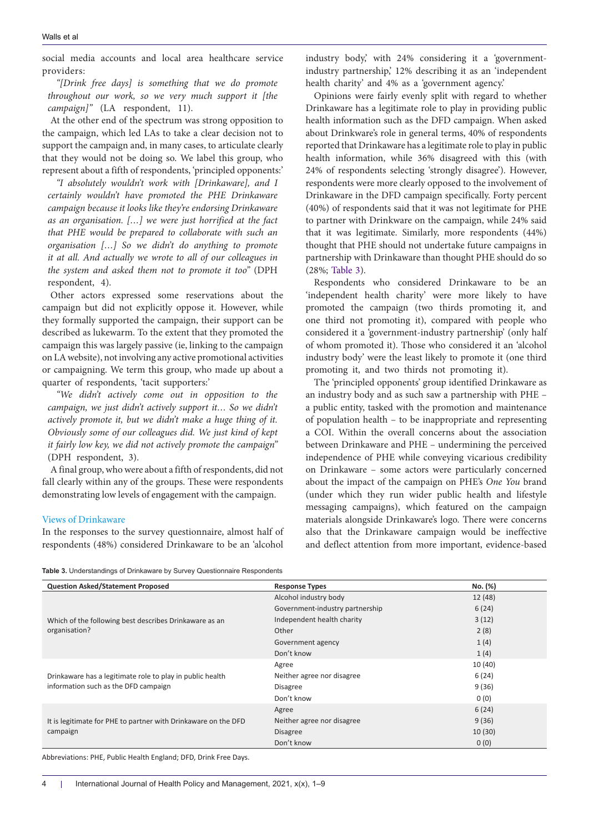social media accounts and local area healthcare service providers:

*"[Drink free days] is something that we do promote throughout our work, so we very much support it [the campaign]"* (LA respondent, 11).

At the other end of the spectrum was strong opposition to the campaign, which led LAs to take a clear decision not to support the campaign and, in many cases, to articulate clearly that they would not be doing so. We label this group, who represent about a fifth of respondents, 'principled opponents:'

*"I absolutely wouldn't work with [Drinkaware], and I certainly wouldn't have promoted the PHE Drinkaware campaign because it looks like they're endorsing Drinkaware as an organisation. […] we were just horrified at the fact that PHE would be prepared to collaborate with such an organisation […] So we didn't do anything to promote it at all. And actually we wrote to all of our colleagues in the system and asked them not to promote it too"* (DPH respondent, 4).

Other actors expressed some reservations about the campaign but did not explicitly oppose it. However, while they formally supported the campaign, their support can be described as lukewarm. To the extent that they promoted the campaign this was largely passive (ie, linking to the campaign on LA website), not involving any active promotional activities or campaigning. We term this group, who made up about a quarter of respondents, 'tacit supporters:'

*"We didn't actively come out in opposition to the campaign, we just didn't actively support it… So we didn't actively promote it, but we didn't make a huge thing of it. Obviously some of our colleagues did. We just kind of kept it fairly low key, we did not actively promote the campaign"* (DPH respondent, 3).

A final group, who were about a fifth of respondents, did not fall clearly within any of the groups. These were respondents demonstrating low levels of engagement with the campaign.

#### Views of Drinkaware

In the responses to the survey questionnaire, almost half of respondents (48%) considered Drinkaware to be an 'alcohol industry body,' with 24% considering it a 'governmentindustry partnership,' 12% describing it as an 'independent health charity' and 4% as a 'government agency.'

Opinions were fairly evenly split with regard to whether Drinkaware has a legitimate role to play in providing public health information such as the DFD campaign. When asked about Drinkware's role in general terms, 40% of respondents reported that Drinkaware has a legitimate role to play in public health information, while 36% disagreed with this (with 24% of respondents selecting 'strongly disagree'). However, respondents were more clearly opposed to the involvement of Drinkaware in the DFD campaign specifically. Forty percent (40%) of respondents said that it was not legitimate for PHE to partner with Drinkware on the campaign, while 24% said that it was legitimate. Similarly, more respondents (44%) thought that PHE should not undertake future campaigns in partnership with Drinkaware than thought PHE should do so (28%; [Table 3](#page-3-0)).

Respondents who considered Drinkaware to be an 'independent health charity' were more likely to have promoted the campaign (two thirds promoting it, and one third not promoting it), compared with people who considered it a 'government-industry partnership' (only half of whom promoted it). Those who considered it an 'alcohol industry body' were the least likely to promote it (one third promoting it, and two thirds not promoting it).

The 'principled opponents' group identified Drinkaware as an industry body and as such saw a partnership with PHE – a public entity, tasked with the promotion and maintenance of population health – to be inappropriate and representing a COI. Within the overall concerns about the association between Drinkaware and PHE – undermining the perceived independence of PHE while conveying vicarious credibility on Drinkaware – some actors were particularly concerned about the impact of the campaign on PHE's *One You* brand (under which they run wider public health and lifestyle messaging campaigns), which featured on the campaign materials alongside Drinkaware's logo. There were concerns also that the Drinkaware campaign would be ineffective and deflect attention from more important, evidence-based

<span id="page-3-0"></span>

|  |  | Table 3. Understandings of Drinkaware by Survey Questionnaire Respondents |  |  |
|--|--|---------------------------------------------------------------------------|--|--|
|--|--|---------------------------------------------------------------------------|--|--|

| Alcohol industry body<br>12 (48)         |
|------------------------------------------|
|                                          |
| 6(24)<br>Government-industry partnership |
| 3(12)<br>Independent health charity      |
| 2(8)                                     |
| 1(4)<br>Government agency                |
| 1(4)                                     |
| 10 (40)                                  |
| 6(24)<br>Neither agree nor disagree      |
| 9(36)                                    |
| 0(0)                                     |
| 6(24)                                    |
| 9(36)<br>Neither agree nor disagree      |
| 10(30)                                   |
| 0(0)                                     |
|                                          |

Abbreviations: PHE, Public Health England; DFD, Drink Free Days.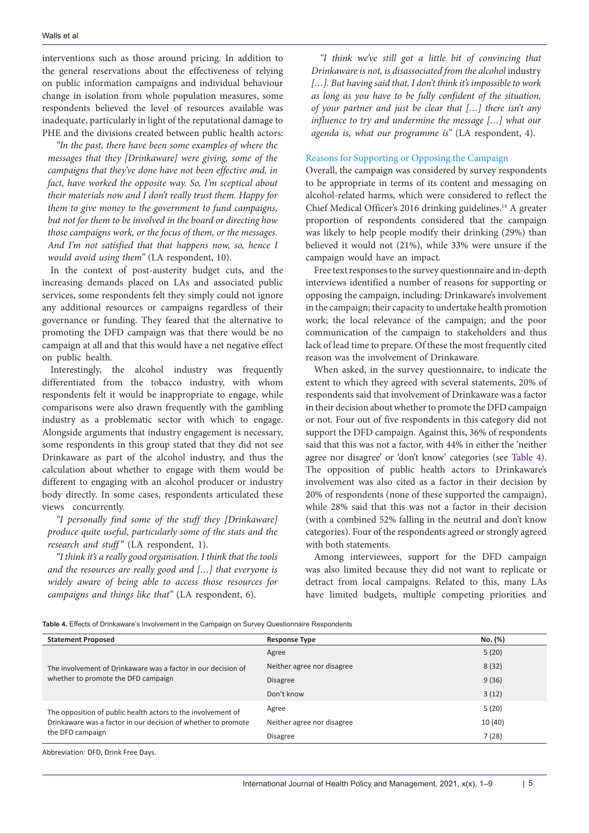interventions such as those around pricing. In addition to the general reservations about the effectiveness of relying on public information campaigns and individual behaviour change in isolation from whole population measures, some respondents believed the level of resources available was inadequate, particularly in light of the reputational damage to PHE and the divisions created between public health actors:

*"In the past, there have been some examples of where the messages that they [Drinkaware] were giving, some of the campaigns that they've done have not been effective and, in fact, have worked the opposite way. So, I'm sceptical about their materials now and I don't really trust them. Happy for them to give money to the government to fund campaigns, but not for them to be involved in the board or directing how those campaigns work, or the focus of them, or the messages. And I'm not satisfied that that happens now, so, hence I would avoid using them"* (LA respondent, 10).

In the context of post-austerity budget cuts, and the increasing demands placed on LAs and associated public services, some respondents felt they simply could not ignore any additional resources or campaigns regardless of their governance or funding. They feared that the alternative to promoting the DFD campaign was that there would be no campaign at all and that this would have a net negative effect on public health.

Interestingly, the alcohol industry was frequently differentiated from the tobacco industry, with whom respondents felt it would be inappropriate to engage, while comparisons were also drawn frequently with the gambling industry as a problematic sector with which to engage. Alongside arguments that industry engagement is necessary, some respondents in this group stated that they did not see Drinkaware as part of the alcohol industry, and thus the calculation about whether to engage with them would be different to engaging with an alcohol producer or industry body directly. In some cases, respondents articulated these views concurrently.

*"I personally find some of the stuff they [Drinkaware] produce quite useful, particularly some of the stats and the research and stuff"* (LA respondent, 1).

*"I think it's a really good organisation. I think that the tools and the resources are really good and […] that everyone is widely aware of being able to access those resources for campaigns and things like that"* (LA respondent, 6).

*"I think we've still got a little bit of convincing that Drinkaware is not, is disassociated from the alcohol* industry *[…]. But having said that, I don't think it's impossible to work as long as you have to be fully confident of the situation, of your partner and just be clear that […] there isn't any influence to try and undermine the message […] what our agenda is, what our programme is"* (LA respondent, 4).

#### Reasons for Supporting or Opposing the Campaign

Overall, the campaign was considered by survey respondents to be appropriate in terms of its content and messaging on alcohol-related harms, which were considered to reflect the Chief Medical Officer's 2016 drinking guidelines.<sup>14</sup> A greater proportion of respondents considered that the campaign was likely to help people modify their drinking (29%) than believed it would not (21%), while 33% were unsure if the campaign would have an impact.

Free text responses to the survey questionnaire and in-depth interviews identified a number of reasons for supporting or opposing the campaign, including: Drinkaware's involvement in the campaign; their capacity to undertake health promotion work; the local relevance of the campaign; and the poor communication of the campaign to stakeholders and thus lack of lead time to prepare. Of these the most frequently cited reason was the involvement of Drinkaware.

When asked, in the survey questionnaire, to indicate the extent to which they agreed with several statements, 20% of respondents said that involvement of Drinkaware was a factor in their decision about whether to promote the DFD campaign or not. Four out of five respondents in this category did not support the DFD campaign. Against this, 36% of respondents said that this was not a factor, with 44% in either the 'neither agree nor disagree' or 'don't know' categories (see [Table 4](#page-4-0)). The opposition of public health actors to Drinkaware's involvement was also cited as a factor in their decision by 20% of respondents (none of these supported the campaign), while 28% said that this was not a factor in their decision (with a combined 52% falling in the neutral and don't know categories). Four of the respondents agreed or strongly agreed with both statements.

Among interviewees, support for the DFD campaign was also limited because they did not want to replicate or detract from local campaigns. Related to this, many LAs have limited budgets, multiple competing priorities and

<span id="page-4-0"></span>**Table 4.** Effects of Drinkaware's Involvement in the Campaign on Survey Questionnaire Respondents

| <b>Statement Proposed</b>                                     | <b>Response Type</b>       | No. (%) |
|---------------------------------------------------------------|----------------------------|---------|
| The involvement of Drinkaware was a factor in our decision of | Agree                      | 5(20)   |
|                                                               | Neither agree nor disagree | 8(32)   |
| whether to promote the DFD campaign                           | <b>Disagree</b>            | 9(36)   |
|                                                               | Don't know                 | 3(12)   |
| The opposition of public health actors to the involvement of  | Agree                      | 5(20)   |
| Drinkaware was a factor in our decision of whether to promote | Neither agree nor disagree | 10(40)  |
| the DFD campaign                                              | <b>Disagree</b>            | 7(28)   |

Abbreviation: DFD, Drink Free Days.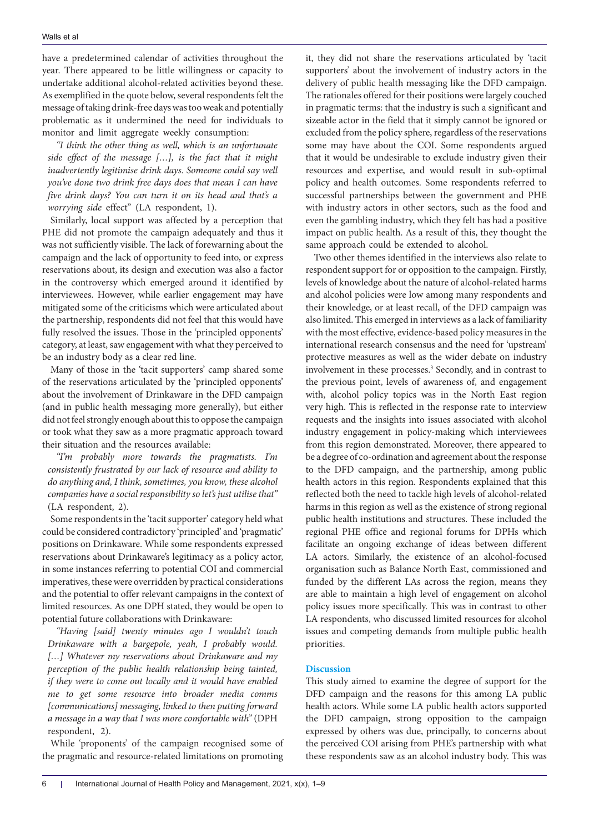have a predetermined calendar of activities throughout the year. There appeared to be little willingness or capacity to undertake additional alcohol-related activities beyond these. As exemplified in the quote below, several respondents felt the message of taking drink-free days was too weak and potentially problematic as it undermined the need for individuals to monitor and limit aggregate weekly consumption:

*"I think the other thing as well, which is an unfortunate side effect of the message […], is the fact that it might inadvertently legitimise drink days. Someone could say well you've done two drink free days does that mean I can have five drink days? You can turn it on its head and that's a worrying side* effect" (LA respondent, 1).

Similarly, local support was affected by a perception that PHE did not promote the campaign adequately and thus it was not sufficiently visible. The lack of forewarning about the campaign and the lack of opportunity to feed into, or express reservations about, its design and execution was also a factor in the controversy which emerged around it identified by interviewees. However, while earlier engagement may have mitigated some of the criticisms which were articulated about the partnership, respondents did not feel that this would have fully resolved the issues. Those in the 'principled opponents' category, at least, saw engagement with what they perceived to be an industry body as a clear red line.

Many of those in the 'tacit supporters' camp shared some of the reservations articulated by the 'principled opponents' about the involvement of Drinkaware in the DFD campaign (and in public health messaging more generally), but either did not feel strongly enough about this to oppose the campaign or took what they saw as a more pragmatic approach toward their situation and the resources available:

*"I'm probably more towards the pragmatists. I'm consistently frustrated by our lack of resource and ability to do anything and, I think, sometimes, you know, these alcohol companies have a social responsibility so let's just utilise that"* (LA respondent, 2).

Some respondents in the 'tacit supporter' category held what could be considered contradictory 'principled' and 'pragmatic' positions on Drinkaware. While some respondents expressed reservations about Drinkaware's legitimacy as a policy actor, in some instances referring to potential COI and commercial imperatives, these were overridden by practical considerations and the potential to offer relevant campaigns in the context of limited resources. As one DPH stated, they would be open to potential future collaborations with Drinkaware:

*"Having [said] twenty minutes ago I wouldn't touch Drinkaware with a bargepole, yeah, I probably would. […] Whatever my reservations about Drinkaware and my perception of the public health relationship being tainted, if they were to come out locally and it would have enabled me to get some resource into broader media comms [communications] messaging, linked to then putting forward a message in a way that I was more comfortable with"* (DPH respondent, 2).

While 'proponents' of the campaign recognised some of the pragmatic and resource-related limitations on promoting

it, they did not share the reservations articulated by 'tacit supporters' about the involvement of industry actors in the delivery of public health messaging like the DFD campaign. The rationales offered for their positions were largely couched in pragmatic terms: that the industry is such a significant and sizeable actor in the field that it simply cannot be ignored or excluded from the policy sphere, regardless of the reservations some may have about the COI. Some respondents argued that it would be undesirable to exclude industry given their resources and expertise, and would result in sub-optimal policy and health outcomes. Some respondents referred to successful partnerships between the government and PHE with industry actors in other sectors, such as the food and even the gambling industry, which they felt has had a positive impact on public health. As a result of this, they thought the same approach could be extended to alcohol.

Two other themes identified in the interviews also relate to respondent support for or opposition to the campaign. Firstly, levels of knowledge about the nature of alcohol-related harms and alcohol policies were low among many respondents and their knowledge, or at least recall, of the DFD campaign was also limited. This emerged in interviews as a lack of familiarity with the most effective, evidence-based policy measures in the international research consensus and the need for 'upstream' protective measures as well as the wider debate on industry involvement in these processes.<sup>3</sup> Secondly, and in contrast to the previous point, levels of awareness of, and engagement with, alcohol policy topics was in the North East region very high. This is reflected in the response rate to interview requests and the insights into issues associated with alcohol industry engagement in policy-making which interviewees from this region demonstrated. Moreover, there appeared to be a degree of co-ordination and agreement about the response to the DFD campaign, and the partnership, among public health actors in this region. Respondents explained that this reflected both the need to tackle high levels of alcohol-related harms in this region as well as the existence of strong regional public health institutions and structures. These included the regional PHE office and regional forums for DPHs which facilitate an ongoing exchange of ideas between different LA actors. Similarly, the existence of an alcohol-focused organisation such as Balance North East, commissioned and funded by the different LAs across the region, means they are able to maintain a high level of engagement on alcohol policy issues more specifically. This was in contrast to other LA respondents, who discussed limited resources for alcohol issues and competing demands from multiple public health priorities.

#### **Discussion**

This study aimed to examine the degree of support for the DFD campaign and the reasons for this among LA public health actors. While some LA public health actors supported the DFD campaign, strong opposition to the campaign expressed by others was due, principally, to concerns about the perceived COI arising from PHE's partnership with what these respondents saw as an alcohol industry body. This was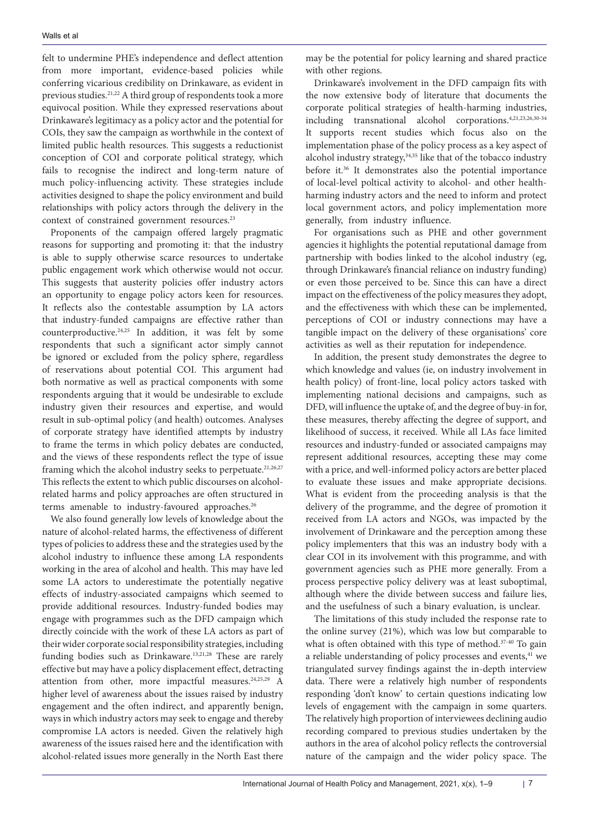felt to undermine PHE's independence and deflect attention from more important, evidence-based policies while conferring vicarious credibility on Drinkaware, as evident in previous studies.21,22 A third group of respondents took a more equivocal position. While they expressed reservations about Drinkaware's legitimacy as a policy actor and the potential for COIs, they saw the campaign as worthwhile in the context of limited public health resources. This suggests a reductionist conception of COI and corporate political strategy, which fails to recognise the indirect and long-term nature of much policy-influencing activity. These strategies include activities designed to shape the policy environment and build relationships with policy actors through the delivery in the context of constrained government resources.<sup>23</sup>

Proponents of the campaign offered largely pragmatic reasons for supporting and promoting it: that the industry is able to supply otherwise scarce resources to undertake public engagement work which otherwise would not occur. This suggests that austerity policies offer industry actors an opportunity to engage policy actors keen for resources. It reflects also the contestable assumption by LA actors that industry-funded campaigns are effective rather than counterproductive.24,25 In addition, it was felt by some respondents that such a significant actor simply cannot be ignored or excluded from the policy sphere, regardless of reservations about potential COI. This argument had both normative as well as practical components with some respondents arguing that it would be undesirable to exclude industry given their resources and expertise, and would result in sub-optimal policy (and health) outcomes. Analyses of corporate strategy have identified attempts by industry to frame the terms in which policy debates are conducted, and the views of these respondents reflect the type of issue framing which the alcohol industry seeks to perpetuate.<sup>21,26,27</sup> This reflects the extent to which public discourses on alcoholrelated harms and policy approaches are often structured in terms amenable to industry-favoured approaches.<sup>26</sup>

We also found generally low levels of knowledge about the nature of alcohol-related harms, the effectiveness of different types of policies to address these and the strategies used by the alcohol industry to influence these among LA respondents working in the area of alcohol and health. This may have led some LA actors to underestimate the potentially negative effects of industry-associated campaigns which seemed to provide additional resources. Industry-funded bodies may engage with programmes such as the DFD campaign which directly coincide with the work of these LA actors as part of their wider corporate social responsibility strategies, including funding bodies such as Drinkaware.13,21,28 These are rarely effective but may have a policy displacement effect, detracting attention from other, more impactful measures.<sup>24,25,29</sup> A higher level of awareness about the issues raised by industry engagement and the often indirect, and apparently benign, ways in which industry actors may seek to engage and thereby compromise LA actors is needed. Given the relatively high awareness of the issues raised here and the identification with alcohol-related issues more generally in the North East there may be the potential for policy learning and shared practice with other regions.

Drinkaware's involvement in the DFD campaign fits with the now extensive body of literature that documents the corporate political strategies of health-harming industries, including transnational alcohol corporations.4,21,23,26,30-34 It supports recent studies which focus also on the implementation phase of the policy process as a key aspect of alcohol industry strategy, $34,35$  like that of the tobacco industry before it.36 It demonstrates also the potential importance of local-level poltical activity to alcohol- and other healthharming industry actors and the need to inform and protect local government actors, and policy implementation more generally, from industry influence.

For organisations such as PHE and other government agencies it highlights the potential reputational damage from partnership with bodies linked to the alcohol industry (eg, through Drinkaware's financial reliance on industry funding) or even those perceived to be. Since this can have a direct impact on the effectiveness of the policy measures they adopt, and the effectiveness with which these can be implemented, perceptions of COI or industry connections may have a tangible impact on the delivery of these organisations' core activities as well as their reputation for independence.

In addition, the present study demonstrates the degree to which knowledge and values (ie, on industry involvement in health policy) of front-line, local policy actors tasked with implementing national decisions and campaigns, such as DFD, will influence the uptake of, and the degree of buy-in for, these measures, thereby affecting the degree of support, and likelihood of success, it received. While all LAs face limited resources and industry-funded or associated campaigns may represent additional resources, accepting these may come with a price, and well-informed policy actors are better placed to evaluate these issues and make appropriate decisions. What is evident from the proceeding analysis is that the delivery of the programme, and the degree of promotion it received from LA actors and NGOs, was impacted by the involvement of Drinkaware and the perception among these policy implementers that this was an industry body with a clear COI in its involvement with this programme, and with government agencies such as PHE more generally. From a process perspective policy delivery was at least suboptimal, although where the divide between success and failure lies, and the usefulness of such a binary evaluation, is unclear.

The limitations of this study included the response rate to the online survey (21%), which was low but comparable to what is often obtained with this type of method.<sup>37-40</sup> To gain a reliable understanding of policy processes and events,<sup>41</sup> we triangulated survey findings against the in-depth interview data. There were a relatively high number of respondents responding 'don't know' to certain questions indicating low levels of engagement with the campaign in some quarters. The relatively high proportion of interviewees declining audio recording compared to previous studies undertaken by the authors in the area of alcohol policy reflects the controversial nature of the campaign and the wider policy space. The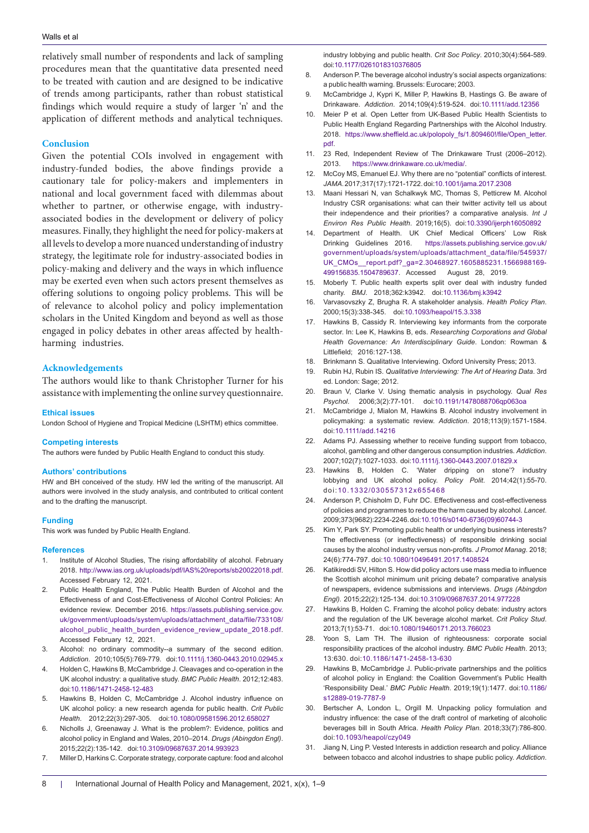relatively small number of respondents and lack of sampling procedures mean that the quantitative data presented need to be treated with caution and are designed to be indicative of trends among participants, rather than robust statistical findings which would require a study of larger 'n' and the application of different methods and analytical techniques.

#### **Conclusion**

Given the potential COIs involved in engagement with industry-funded bodies, the above findings provide a cautionary tale for policy-makers and implementers in national and local government faced with dilemmas about whether to partner, or otherwise engage, with industryassociated bodies in the development or delivery of policy measures. Finally, they highlight the need for policy-makers at all levels to develop a more nuanced understanding of industry strategy, the legitimate role for industry-associated bodies in policy-making and delivery and the ways in which influence may be exerted even when such actors present themselves as offering solutions to ongoing policy problems. This will be of relevance to alcohol policy and policy implementation scholars in the United Kingdom and beyond as well as those engaged in policy debates in other areas affected by healthharming industries.

#### **Acknowledgements**

The authors would like to thank Christopher Turner for his assistance with implementing the online survey questionnaire.

#### **Ethical issues**

London School of Hygiene and Tropical Medicine (LSHTM) ethics committee.

#### **Competing interests**

The authors were funded by Public Health England to conduct this study.

#### **Authors' contributions**

HW and BH conceived of the study. HW led the writing of the manuscript. All authors were involved in the study analysis, and contributed to critical content and to the drafting the manuscript.

#### **Funding**

This work was funded by Public Health England.

#### **References**

- Institute of Alcohol Studies, The rising affordability of alcohol. February 2018. [http://www.ias.org.uk/uploads/pdf/IAS%20reports/sb20022018.pdf](http://www.ias.org.uk/uploads/pdf/IAS reports/sb20022018.pdf). Accessed February 12, 2021.
- 2. Public Health England, The Public Health Burden of Alcohol and the Effectiveness of and Cost-Effectiveness of Alcohol Control Policies: An evidence review. December 2016. [https://assets.publishing.service.gov.](https://assets.publishing.service.gov.uk/government/uploads/system/uploads/attachment_data/file/733108/alcohol_public_health_burden_evidence_review_update_2018.pdf) [uk/government/uploads/system/uploads/attachment\\_data/file/733108/](https://assets.publishing.service.gov.uk/government/uploads/system/uploads/attachment_data/file/733108/alcohol_public_health_burden_evidence_review_update_2018.pdf) [alcohol\\_public\\_health\\_burden\\_evidence\\_review\\_update\\_2018.pdf](https://assets.publishing.service.gov.uk/government/uploads/system/uploads/attachment_data/file/733108/alcohol_public_health_burden_evidence_review_update_2018.pdf). Accessed February 12, 2021.
- 3. Alcohol: no ordinary commodity--a summary of the second edition. *Addiction*. 2010;105(5):769-779. doi[:10.1111/j.1360-0443.2010.02945.x](https://doi.org/10.1111/j.1360-0443.2010.02945.x)
- 4. Holden C, Hawkins B, McCambridge J. Cleavages and co-operation in the UK alcohol industry: a qualitative study. *BMC Public Health*. 2012;12:483. doi:[10.1186/1471-2458-12-483](https://doi.org/10.1186/1471-2458-12-483)
- 5. Hawkins B, Holden C, McCambridge J. Alcohol industry influence on UK alcohol policy: a new research agenda for public health. *Crit Public Health*. 2012;22(3):297-305. doi:[10.1080/09581596.2012.658027](https://doi.org/10.1080/09581596.2012.658027)
- 6. Nicholls J, Greenaway J. What is the problem?: Evidence, politics and alcohol policy in England and Wales, 2010–2014. *Drugs (Abingdon Engl)*. 2015;22(2):135-142. doi[:10.3109/09687637.2014.993923](https://doi.org/10.3109/09687637.2014.993923)
- 7. Miller D, Harkins C. Corporate strategy, corporate capture: food and alcohol

industry lobbying and public health. *Crit Soc Policy*. 2010;30(4):564-589. doi[:10.1177/0261018310376805](https://doi.org/10.1177/0261018310376805)

- 8. Anderson P. The beverage alcohol industry's social aspects organizations: a public health warning. Brussels: Eurocare; 2003.
- 9. McCambridge J, Kypri K, Miller P, Hawkins B, Hastings G. Be aware of Drinkaware. *Addiction*. 2014;109(4):519-524. doi:[10.1111/add.12356](https://doi.org/10.1111/add.12356)
- 10. Meier P et al. Open Letter from UK-Based Public Health Scientists to Public Health England Regarding Partnerships with the Alcohol Industry. 2018. [https://www.sheffield.ac.uk/polopoly\\_fs/1.809460!/file/Open\\_letter.](https://www.sheffield.ac.uk/polopoly_fs/1.809460!/file/Open_letter.pdf) [pdf](https://www.sheffield.ac.uk/polopoly_fs/1.809460!/file/Open_letter.pdf).
- 11. 23 Red, Independent Review of The Drinkaware Trust (2006–2012). 2013. [https://www.drinkaware.co.uk/media/.](https://www.drinkaware.co.uk/media/ )
- 12. McCoy MS, Emanuel EJ. Why there are no "potential" conflicts of interest. *JAMA*. 2017;317(17):1721-1722. doi:[10.1001/jama.2017.2308](https://doi.org/10.1001/jama.2017.2308)
- 13. Maani Hessari N, van Schalkwyk MC, Thomas S, Petticrew M. Alcohol Industry CSR organisations: what can their twitter activity tell us about their independence and their priorities? a comparative analysis. *Int J Environ Res Public Health*. 2019;16(5). doi:[10.3390/ijerph16050892](https://doi.org/10.3390/ijerph16050892)
- 14. Department of Health. UK Chief Medical Officers' Low Risk Drinking Guidelines 2016. [https://assets.publishing.service.gov.uk/](https://assets.publishing.service.gov.uk/government/uploads/system/uploads/attachment_data/file/545937/UK_CMOs__report.pdf?_ga=2.30468927.1605885231.1566988169-499156835.1504789637) [government/uploads/system/uploads/attachment\\_data/file/545937/](https://assets.publishing.service.gov.uk/government/uploads/system/uploads/attachment_data/file/545937/UK_CMOs__report.pdf?_ga=2.30468927.1605885231.1566988169-499156835.1504789637) [UK\\_CMOs\\_\\_report.pdf?\\_ga=2.30468927.1605885231.1566988169-](https://assets.publishing.service.gov.uk/government/uploads/system/uploads/attachment_data/file/545937/UK_CMOs__report.pdf?_ga=2.30468927.1605885231.1566988169-499156835.1504789637) [499156835.1504789637.](https://assets.publishing.service.gov.uk/government/uploads/system/uploads/attachment_data/file/545937/UK_CMOs__report.pdf?_ga=2.30468927.1605885231.1566988169-499156835.1504789637) Accessed August 28, 2019.
- 15. Moberly T. Public health experts split over deal with industry funded charity. *BMJ*. 2018;362:k3942. doi[:10.1136/bmj.k3942](https://doi.org/10.1136/bmj.k3942)
- 16. Varvasovszky Z, Brugha R. A stakeholder analysis. *Health Policy Plan*. 2000;15(3):338-345. doi[:10.1093/heapol/15.3.338](https://doi.org/10.1093/heapol/15.3.338)
- 17. Hawkins B, Cassidy R. Interviewing key informants from the corporate sector. In: Lee K, Hawkins B, eds. *Researching Corporations and Global Health Governance: An Interdisciplinary Guide*. London: Rowman & Littlefield; 2016:127-138.
- 18. Brinkmann S. Qualitative Interviewing. Oxford University Press; 2013.
- 19. Rubin HJ, Rubin IS. *Qualitative Interviewing: The Art of Hearing Data*. 3rd ed. London: Sage; 2012.
- 20. Braun V, Clarke V. Using thematic analysis in psychology. *Qual Res Psychol*. 2006;3(2):77-101. doi[:10.1191/1478088706qp063oa](https://doi.org/10.1191/1478088706qp063oa)
- 21. McCambridge J, Mialon M, Hawkins B. Alcohol industry involvement in policymaking: a systematic review. *Addiction*. 2018;113(9):1571-1584. doi:[10.1111/add.14216](https://doi.org/10.1111/add.14216)
- 22. Adams PJ. Assessing whether to receive funding support from tobacco, alcohol, gambling and other dangerous consumption industries. *Addiction*. 2007;102(7):1027-1033. doi:[10.1111/j.1360-0443.2007.01829.x](https://doi.org/10.1111/j.1360-0443.2007.01829.x)
- 23. Hawkins B, Holden C. 'Water dripping on stone'? industry lobbying and UK alcohol policy. *Policy Polit*. 2014;42(1):55-70. doi:[10.1332/030557312x655468](https://doi.org/10.1332/030557312x655468)
- 24. Anderson P, Chisholm D, Fuhr DC. Effectiveness and cost-effectiveness of policies and programmes to reduce the harm caused by alcohol. *Lancet*. 2009;373(9682):2234-2246. doi:[10.1016/s0140-6736\(09\)60744-3](https://doi.org/10.1016/s0140-6736(09)60744-3)
- 25. Kim Y, Park SY. Promoting public health or underlying business interests? The effectiveness (or ineffectiveness) of responsible drinking social causes by the alcohol industry versus non-profits. *J Promot Manag*. 2018; 24(6):774-797. doi:[10.1080/10496491.2017.1408524](https://doi.org/10.1080/10496491.2017.1408524)
- 26. Katikireddi SV, Hilton S. How did policy actors use mass media to influence the Scottish alcohol minimum unit pricing debate? comparative analysis of newspapers, evidence submissions and interviews. *Drugs (Abingdon Engl)*. 2015;22(2):125-134. doi:[10.3109/09687637.2014.977228](https://doi.org/10.3109/09687637.2014.977228)
- 27. Hawkins B, Holden C. Framing the alcohol policy debate: industry actors and the regulation of the UK beverage alcohol market. *Crit Policy Stud*. 2013;7(1):53-71. doi:[10.1080/19460171.2013.766023](https://doi.org/10.1080/19460171.2013.766023)
- 28. Yoon S, Lam TH. The illusion of righteousness: corporate social responsibility practices of the alcohol industry. *BMC Public Health*. 2013; 13:630. doi:[10.1186/1471-2458-13-630](https://doi.org/10.1186/1471-2458-13-630)
- 29. Hawkins B, McCambridge J. Public-private partnerships and the politics of alcohol policy in England: the Coalition Government's Public Health 'Responsibility Deal.' *BMC Public Health*. 2019;19(1):1477. doi[:10.1186/](https://doi.org/10.1186/s12889-019-7787-9) [s12889-019-7787-9](https://doi.org/10.1186/s12889-019-7787-9)
- 30. Bertscher A, London L, Orgill M. Unpacking policy formulation and industry influence: the case of the draft control of marketing of alcoholic beverages bill in South Africa. *Health Policy Plan*. 2018;33(7):786-800. doi:[10.1093/heapol/czy049](https://doi.org/10.1093/heapol/czy049)
- 31. Jiang N, Ling P. Vested Interests in addiction research and policy. Alliance between tobacco and alcohol industries to shape public policy. *Addiction*.